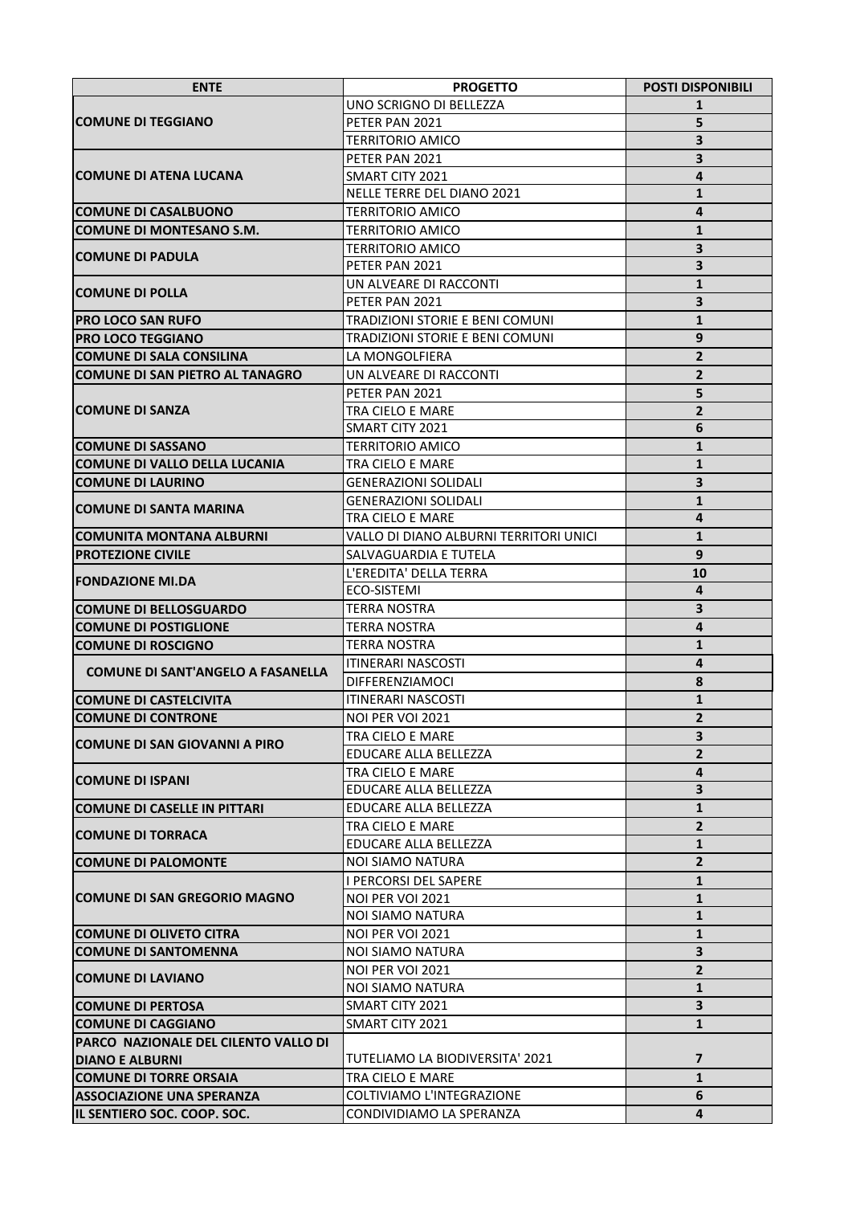| <b>ENTE</b>                                 | <b>PROGETTO</b>                        | <b>POSTI DISPONIBILI</b> |
|---------------------------------------------|----------------------------------------|--------------------------|
| <b>COMUNE DI TEGGIANO</b>                   | UNO SCRIGNO DI BELLEZZA                | 1                        |
|                                             | PETER PAN 2021                         | 5                        |
|                                             | <b>TERRITORIO AMICO</b>                | 3                        |
|                                             | PETER PAN 2021                         | 3                        |
| <b>COMUNE DI ATENA LUCANA</b>               | SMART CITY 2021                        | 4                        |
|                                             | NELLE TERRE DEL DIANO 2021             | $\mathbf{1}$             |
| <b>COMUNE DI CASALBUONO</b>                 | <b>TERRITORIO AMICO</b>                | 4                        |
| ICOMUNE DI MONTESANO S.M.                   | <b>TERRITORIO AMICO</b>                | $\mathbf{1}$             |
| <b>COMUNE DI PADULA</b><br> COMUNE DI POLLA | <b>TERRITORIO AMICO</b>                | 3                        |
|                                             | PETER PAN 2021                         | 3                        |
|                                             | UN ALVEARE DI RACCONTI                 | $\mathbf{1}$             |
|                                             | PETER PAN 2021                         | 3                        |
| <b>PRO LOCO SAN RUFO</b>                    | TRADIZIONI STORIE E BENI COMUNI        | $\mathbf{1}$             |
| <b>PRO LOCO TEGGIANO</b>                    | TRADIZIONI STORIE E BENI COMUNI        | 9                        |
| <b>COMUNE DI SALA CONSILINA</b>             | LA MONGOLFIERA                         | $\overline{2}$           |
| <b>COMUNE DI SAN PIETRO AL TANAGRO</b>      | UN ALVEARE DI RACCONTI                 | $\overline{2}$           |
|                                             | PETER PAN 2021                         | 5                        |
| <b>COMUNE DI SANZA</b>                      | TRA CIELO E MARE                       | $\overline{2}$           |
|                                             | SMART CITY 2021                        | 6                        |
| <b>COMUNE DI SASSANO</b>                    | <b>TERRITORIO AMICO</b>                | $\mathbf{1}$             |
| ICOMUNE DI VALLO DELLA LUCANIA              | TRA CIELO E MARE                       | $\mathbf{1}$             |
| <b>COMUNE DI LAURINO</b>                    | <b>GENERAZIONI SOLIDALI</b>            | 3                        |
| ICOMUNE DI SANTA MARINA                     | <b>GENERAZIONI SOLIDALI</b>            | $\mathbf{1}$             |
|                                             | TRA CIELO E MARE                       | 4                        |
| ICOMUNITA MONTANA ALBURNI                   | VALLO DI DIANO ALBURNI TERRITORI UNICI | $\mathbf{1}$             |
| <b>PROTEZIONE CIVILE</b>                    | SALVAGUARDIA E TUTELA                  | 9                        |
| <b>FONDAZIONE MI.DA</b>                     | L'EREDITA' DELLA TERRA                 | 10                       |
|                                             | ECO-SISTEMI                            | 4                        |
| <b>COMUNE DI BELLOSGUARDO</b>               | TERRA NOSTRA                           | 3                        |
| <b>COMUNE DI POSTIGLIONE</b>                | <b>TERRA NOSTRA</b>                    | 4                        |
| <b>COMUNE DI ROSCIGNO</b>                   | <b>TERRA NOSTRA</b>                    | $\mathbf{1}$             |
| <b>COMUNE DI SANT'ANGELO A FASANELLA</b>    | <b>ITINERARI NASCOSTI</b>              | $\overline{4}$           |
|                                             | DIFFERENZIAMOCI                        | 8                        |
| <b>COMUNE DI CASTELCIVITA</b>               | <b>ITINERARI NASCOSTI</b>              | $\mathbf{1}$             |
| <b>COMUNE DI CONTRONE</b>                   | NOI PER VOI 2021                       | $\mathbf{2}$             |
| ICOMUNE DI SAN GIOVANNI A PIRO              | TRA CIELO E MARE                       | 3                        |
|                                             | EDUCARE ALLA BELLEZZA                  | $\overline{2}$           |
| <b>COMUNE DI ISPANI</b>                     | TRA CIELO E MARE                       | 4                        |
|                                             | EDUCARE ALLA BELLEZZA                  | $\overline{\mathbf{3}}$  |
| ICOMUNE DI CASELLE IN PITTARI               | EDUCARE ALLA BELLEZZA                  | $\mathbf{1}$             |
| COMUNE DI TORRACA                           | TRA CIELO E MARE                       | $\overline{2}$           |
|                                             | EDUCARE ALLA BELLEZZA                  | $\mathbf{1}$             |
| <b>COMUNE DI PALOMONTE</b>                  | <b>NOI SIAMO NATURA</b>                | $\overline{2}$           |
| ICOMUNE DI SAN GREGORIO MAGNO               | <b>I PERCORSI DEL SAPERE</b>           | $\mathbf{1}$             |
|                                             | NOI PER VOI 2021                       | $\mathbf{1}$             |
|                                             | <b>NOI SIAMO NATURA</b>                | $\mathbf{1}$             |
| <b>COMUNE DI OLIVETO CITRA</b>              | NOI PER VOI 2021                       | $\mathbf{1}$             |
| <b>COMUNE DI SANTOMENNA</b>                 | NOI SIAMO NATURA                       | 3                        |
| <b>COMUNE DI LAVIANO</b>                    | NOI PER VOI 2021                       | $2^{\circ}$              |
|                                             | NOI SIAMO NATURA                       | $\mathbf{1}$             |
| <b>COMUNE DI PERTOSA</b>                    | SMART CITY 2021                        | 3                        |
| <b>ICOMUNE DI CAGGIANO</b>                  | SMART CITY 2021                        | $\mathbf{1}$             |
| PARCO NAZIONALE DEL CILENTO VALLO DI        |                                        |                          |
| <b>DIANO E ALBURNI</b>                      | TUTELIAMO LA BIODIVERSITA' 2021        | 7                        |
| <b>COMUNE DI TORRE ORSAIA</b>               | TRA CIELO E MARE                       | $\mathbf{1}$             |
| <b>ASSOCIAZIONE UNA SPERANZA</b>            | COLTIVIAMO L'INTEGRAZIONE              | 6                        |
| IL SENTIERO SOC. COOP. SOC.                 | CONDIVIDIAMO LA SPERANZA               | 4                        |